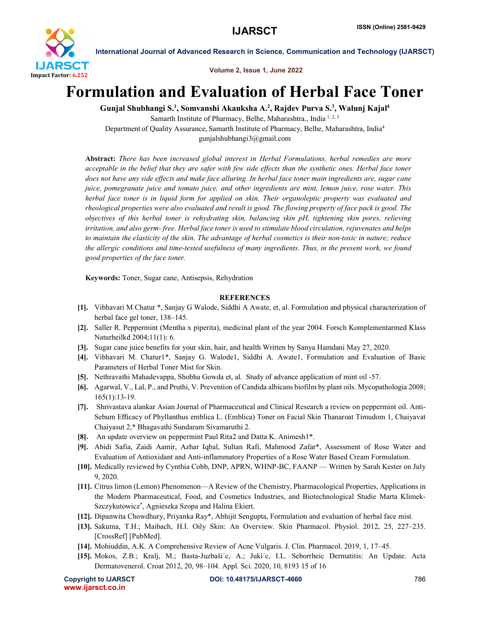

International Journal of Advanced Research in Science, Communication and Technology (IJARSCT)

Volume 2, Issue 1, June 2022

## Formulation and Evaluation of Herbal Face Toner

Gunjal Shubhangi S.<sup>1</sup>, Somvanshi Akanksha A.<sup>2</sup>, Rajdev Purva S.<sup>3</sup>, Walunj Kajal<sup>4</sup> Samarth Institute of Pharmacy, Belhe, Maharashtra., India 1, 2, 3

Department of Quality Assurance, Samarth Institute of Pharmacy, Belhe, Maharashtra, India4 gunjalshubhangi3@gmail.com

Abstract: *There has been increased global interest in Herbal Formulations, herbal remedies are more acceptable in the belief that they are safer with few side effects than the synthetic ones. Herbal face toner does not have any side effects and make face alluring. In herbal face toner main ingredients are, sugar cane juice, pomegranate juice and tomato juice, and other ingredients are mint, lemon juice, rose water. This herbal face toner is in liquid form for applied on skin. Their organoleptic property was evaluated and rheological properties were also evaluated and result is good. The flowing property of face pack is good. The objectives of this herbal toner is rehydrating skin, balancing skin pH, tightening skin pores, relieving irritation, and also germ- free. Herbal face toner is used to stimulate blood circulation, rejuvenates and helps to maintain the elasticity of the skin. The advantage of herbal cosmetics is their non-toxic in nature; reduce the allergic conditions and time-tested usefulness of many ingredients. Thus, in the present work, we found good properties of the face toner.*

Keywords: Toner, Sugar cane, Antisepsis, Rehydration

## **REFERENCES**

- [1]. Vibhavari M Chatur \*, Sanjay G Walode, Siddhi A Awate, et, al. Formulation and physical characterization of herbal face gel toner, 138–145.
- [2]. Saller R. Peppermint (Mentha x piperita), medicinal plant of the year 2004. Forsch Komplementarmed Klass Naturheilkd 2004;11(1): 6.
- [3]. Sugar cane juice benefits for your skin, hair, and health Written by Sanya Hamdani May 27, 2020.
- [4]. Vibhavari M. Chatur1\*, Sanjay G. Walode1, Siddhi A. Awate1, Formulation and Evaluation of Basic Parameters of Herbal Toner Mist for Skin.
- [5]. Nethravathi Mahadevappa, Shobha Gowda et, al. Study of advance application of mint oil -57.
- [6]. Agarwal, V., Lal, P., and Pruthi, V. Prevention of Candida albicans biofilm by plant oils. Mycopathologia 2008; 165(1):13-19.
- [7]. Shrivastava alankar Asian Journal of Pharmaceutical and Clinical Research a review on peppermint oil. Anti-Sebum Efficacy of Phyllanthus emblica L. (Emblica) Toner on Facial Skin Thanaroat Timudom 1, Chaiyavat Chaiyasut 2,\* Bhagavathi Sundaram Sivamaruthi 2.
- [8]. An update overview on peppermint Paul Rita2 and Datta K. Animesh1\*.
- [9]. Abidi Safia, Zaidi Aamir, Azhar Iqbal, Sultan Rafi, Mahmood Zafar\*, Assessment of Rose Water and Evaluation of Antioxidant and Anti-inflammatory Properties of a Rose Water Based Cream Formulation.
- [10]. Medically reviewed by Cynthia Cobb, DNP, APRN, WHNP-BC, FAANP Written by Sarah Kester on July 9, 2020.
- [11]. Citrus limon (Lemon) Phenomenon—A Review of the Chemistry, Pharmacological Properties, Applications in the Modern Pharmaceutical, Food, and Cosmetics Industries, and Biotechnological Studie Marta Klimek-Szczykutowicz\* , Agnieszka Szopa and Halina Ekiert.
- [12]. Dipanwita Chowdhury, Priyanka Ray\*, Abhijit Sengupta, Formulation and evaluation of herbal face mist.
- [13]. Sakuma, T.H.; Maibach, H.I. Oily Skin: An Overview. Skin Pharmacol. Physiol. 2012, 25, 227–235. [CrossRef] [PubMed].
- [14]. Mohiuddin, A.K. A Comprehensive Review of Acne Vulgaris. J. Clin. Pharmacol. 2019, 1, 17–45.
- [15]. Mokos, Z.B.; Kralj, M.; Basta-Juzbaši´c, A.; Juki´c, I.L. Seborrheic Dermatitis: An Update. Acta Dermatovenerol. Croat 2012, 20, 98–104. Appl. Sci. 2020, 10, 8193 15 of 16

```
www.ijarsct.co.in
```